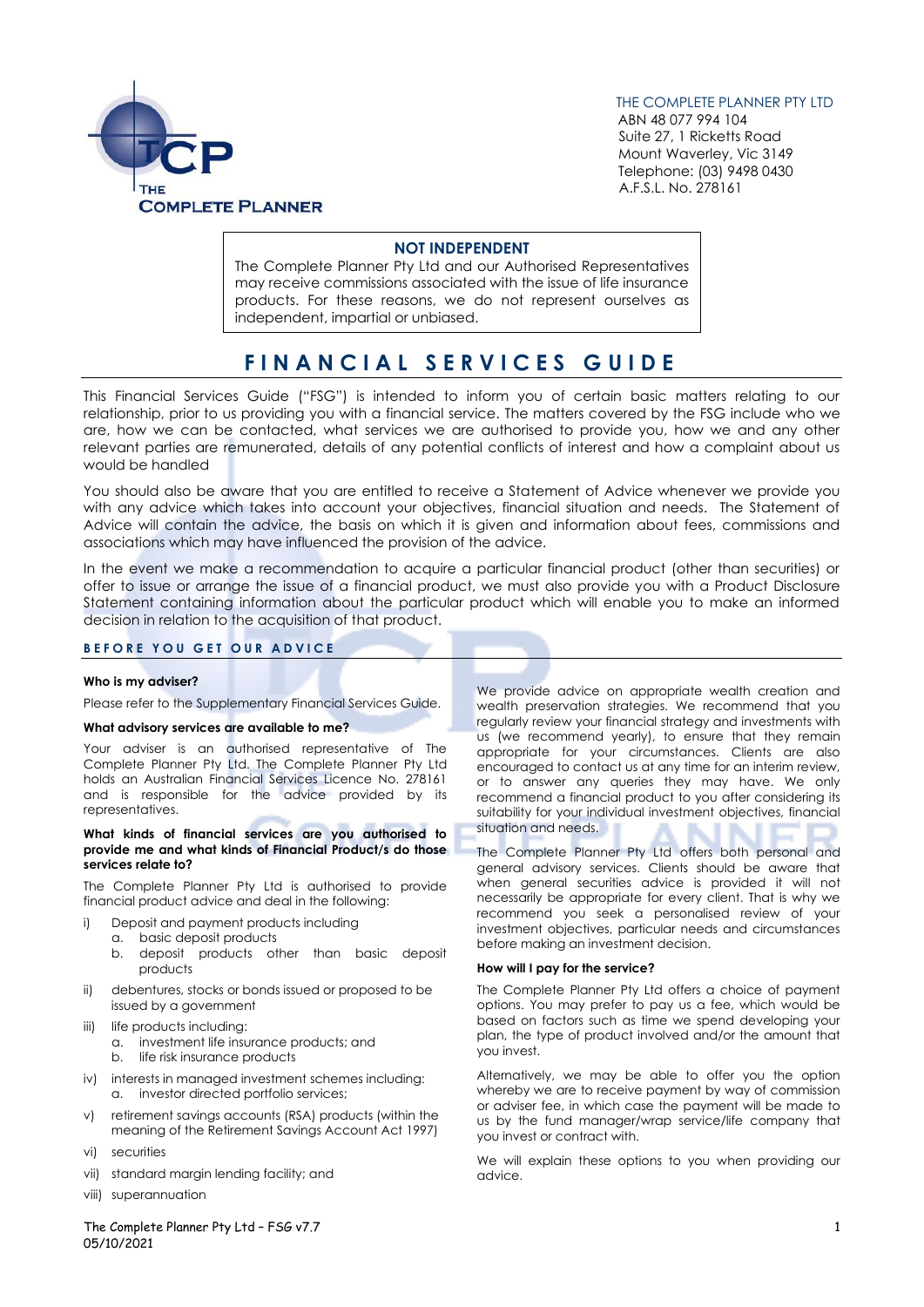

THE COMPLETE PLANNER PTY LTD

 ABN 48 077 994 104 Suite 27, 1 Ricketts Road Mount Waverley, Vic 3149 Telephone: (03) 9498 0430 A.F.S.L. No. 278161

# **NOT INDEPENDENT**

The Complete Planner Pty Ltd and our Authorised Representatives may receive commissions associated with the issue of life insurance products. For these reasons, we do not represent ourselves as independent, impartial or unbiased.

# **F I N A N C I A L S E R V I C E S G U I D E**

This Financial Services Guide ("FSG") is intended to inform you of certain basic matters relating to our relationship, prior to us providing you with a financial service. The matters covered by the FSG include who we are, how we can be contacted, what services we are authorised to provide you, how we and any other relevant parties are remunerated, details of any potential conflicts of interest and how a complaint about us would be handled

You should also be aware that you are entitled to receive a Statement of Advice whenever we provide you with any advice which takes into account your objectives, financial situation and needs. The Statement of Advice will contain the advice, the basis on which it is given and information about fees, commissions and associations which may have influenced the provision of the advice.

In the event we make a recommendation to acquire a particular financial product (other than securities) or offer to issue or arrange the issue of a financial product, we must also provide you with a Product Disclosure Statement containing information about the particular product which will enable you to make an informed decision in relation to the acquisition of that product.

# **B E F O R E Y O U G E T O U R A D V I C E**

# **Who is my adviser?**

Please refer to the Supplementary Financial Services Guide.

# **What advisory services are available to me?**

Your adviser is an authorised representative of The Complete Planner Pty Ltd. The Complete Planner Pty Ltd holds an Australian Financial Services Licence No. 278161 and is responsible for the advice provided by its representatives.

#### **What kinds of financial services are you authorised to provide me and what kinds of Financial Product/s do those services relate to?**

The Complete Planner Pty Ltd is authorised to provide financial product advice and deal in the following:

- i) Deposit and payment products including
- a. basic deposit products
	- b. deposit products other than basic deposit products
- ii) debentures, stocks or bonds issued or proposed to be issued by a government
- iii) life products including:
	- a. investment life insurance products; and
	- b. life risk insurance products
- iv) interests in managed investment schemes including: a. investor directed portfolio services;
- v) retirement savings accounts (RSA) products (within the meaning of the Retirement Savings Account Act 1997)
- vi) securities
- vii) standard margin lending facility; and
- viii) superannuation

We provide advice on appropriate wealth creation and wealth preservation strategies. We recommend that you regularly review your financial strategy and investments with us (we recommend yearly), to ensure that they remain appropriate for your circumstances. Clients are also encouraged to contact us at any time for an interim review, or to answer any queries they may have. We only recommend a financial product to you after considering its suitability for your individual investment objectives, financial situation and needs.

The Complete Planner Pty Ltd offers both personal and general advisory services. Clients should be aware that when general securities advice is provided it will not necessarily be appropriate for every client. That is why we recommend you seek a personalised review of your investment objectives, particular needs and circumstances before making an investment decision.

# **How will I pay for the service?**

The Complete Planner Pty Ltd offers a choice of payment options. You may prefer to pay us a fee, which would be based on factors such as time we spend developing your plan, the type of product involved and/or the amount that you invest.

Alternatively, we may be able to offer you the option whereby we are to receive payment by way of commission or adviser fee, in which case the payment will be made to us by the fund manager/wrap service/life company that you invest or contract with.

We will explain these options to you when providing our advice.